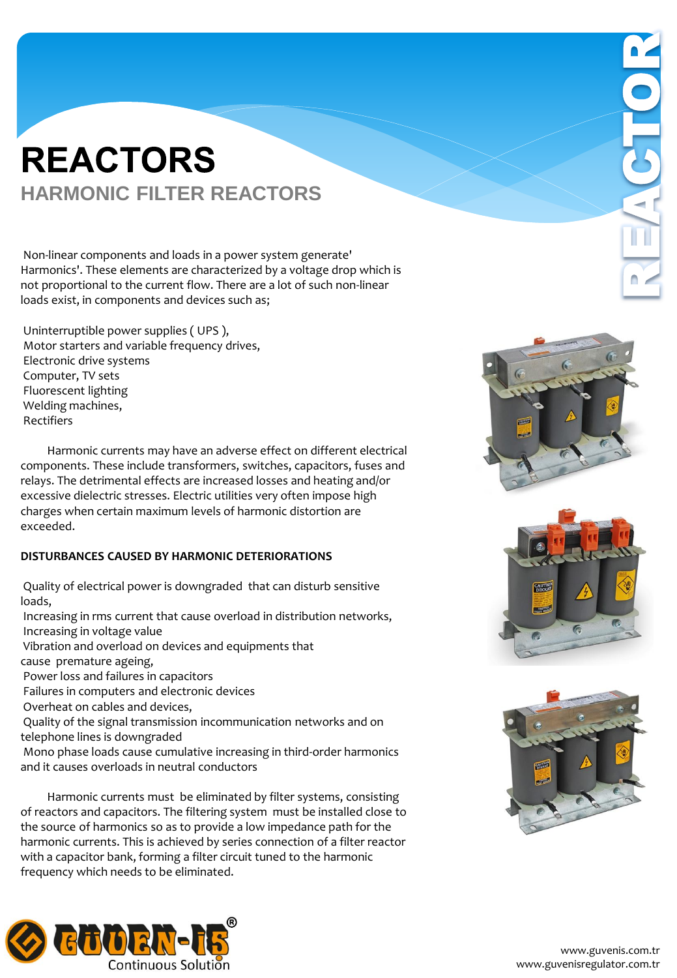Non-linear components and loads in a power system generate' Harmonics'. These elements are characterized by a voltage drop which is not proportional to the current flow. There are a lot of such non-linear loads exist, in components and devices such as;

Uninterruptible power supplies ( UPS ), Motor starters and variable frequency drives, Electronic drive systems Computer, TV sets Fluorescent lighting Welding machines, Rectifiers

 Harmonic currents may have an adverse effect on different electrical components. These include transformers, switches, capacitors, fuses and relays. The detrimental effects are increased losses and heating and/or excessive dielectric stresses. Electric utilities very often impose high charges when certain maximum levels of harmonic distortion are exceeded.

#### **DISTURBANCES CAUSED BY HARMONIC DETERIORATIONS**

Quality of electrical power is downgraded that can disturb sensitive loads,

Increasing in rms current that cause overload in distribution networks, Increasing in voltage value

Vibration and overload on devices and equipments that

cause premature ageing,

Power loss and failures in capacitors

Failures in computers and electronic devices

Overheat on cables and devices,

Quality of the signal transmission incommunication networks and on telephone lines is downgraded

Mono phase loads cause cumulative increasing in third-order harmonics and it causes overloads in neutral conductors

 Harmonic currents must be eliminated by filter systems, consisting of reactors and capacitors. The filtering system must be installed close to the source of harmonics so as to provide a low impedance path for the harmonic currents. This is achieved by series connection of a filter reactor with a capacitor bank, forming a filter circuit tuned to the harmonic frequency which needs to be eliminated.







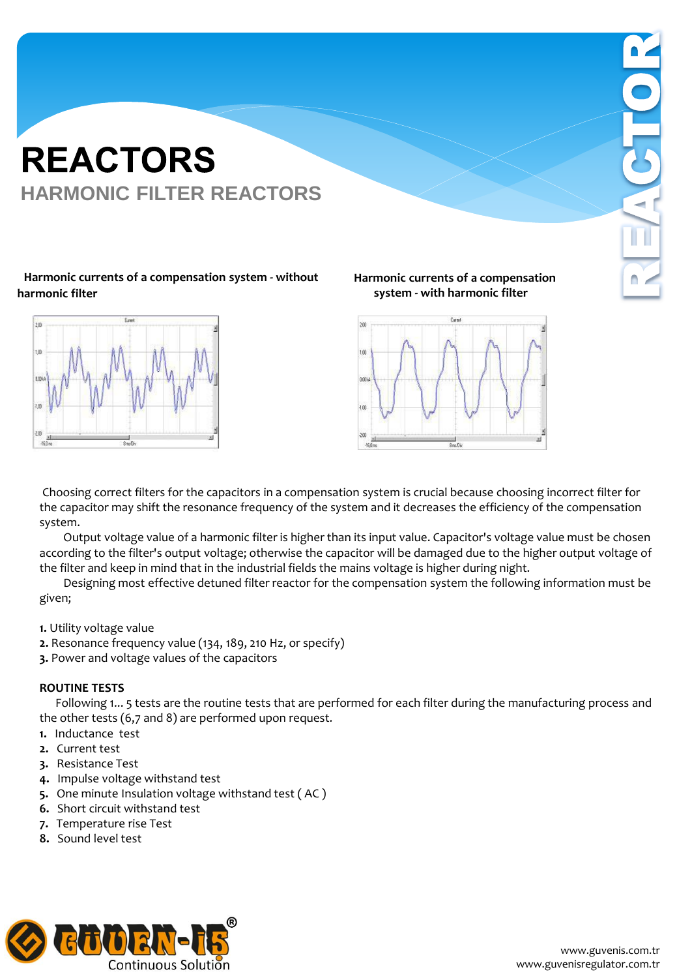#### **Harmonic currents of a compensation system - without harmonic filter**



**Harmonic currents of a compensation system - with harmonic filter**



Choosing correct filters for the capacitors in a compensation system is crucial because choosing incorrect filter for the capacitor may shift the resonance frequency of the system and it decreases the efficiency of the compensation system.

 Output voltage value of a harmonic filter is higher than its input value. Capacitor's voltage value must be chosen according to the filter's output voltage; otherwise the capacitor will be damaged due to the higher output voltage of the filter and keep in mind that in the industrial fields the mains voltage is higher during night.

 Designing most effective detuned filter reactor for the compensation system the following information must be given;

- **1.** Utility voltage value
- **2.** Resonance frequency value (134, 189, 210 Hz, or specify)
- **3.** Power and voltage values of the capacitors

#### **ROUTINE TESTS**

Following 1... 5 tests are the routine tests that are performed for each filter during the manufacturing process and the other tests (6,7 and 8) are performed upon request.

- **1.** Inductance test
- **2.** Current test
- **3.** Resistance Test
- **4.** Impulse voltage withstand test
- **5.** One minute Insulation voltage withstand test ( AC )
- **6.** Short circuit withstand test
- **7.** Temperature rise Test
- **8.** Sound level test

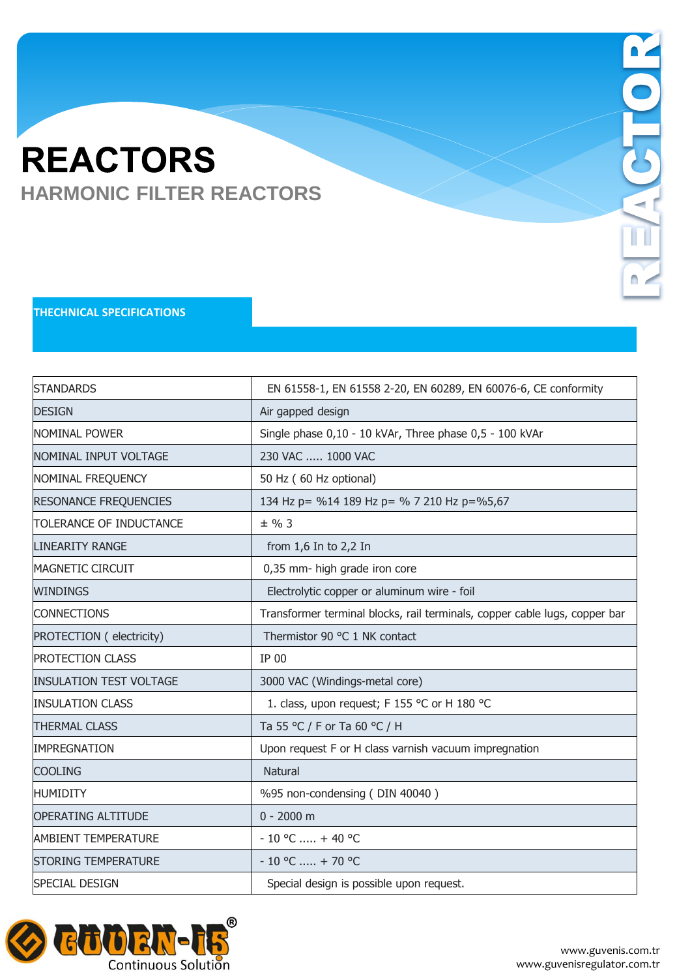### **THECHNICAL SPECIFICATIONS**

| <b>STANDARDS</b>               | EN 61558-1, EN 61558 2-20, EN 60289, EN 60076-6, CE conformity             |
|--------------------------------|----------------------------------------------------------------------------|
| <b>DESIGN</b>                  | Air gapped design                                                          |
| Inominal Power                 | Single phase 0,10 - 10 kVAr, Three phase 0,5 - 100 kVAr                    |
| <b>INOMINAL INPUT VOLTAGE</b>  | 230 VAC  1000 VAC                                                          |
| NOMINAL FREQUENCY              | 50 Hz (60 Hz optional)                                                     |
| <b>RESONANCE FREQUENCIES</b>   | 134 Hz p = %14 189 Hz p = % 7 210 Hz p = %5,67                             |
| TOLERANCE OF INDUCTANCE        | $±$ % 3                                                                    |
| LINEARITY RANGE                | from $1,6$ In to $2,2$ In                                                  |
| MAGNETIC CIRCUIT               | 0,35 mm- high grade iron core                                              |
| <b>WINDINGS</b>                | Electrolytic copper or aluminum wire - foil                                |
| <b>CONNECTIONS</b>             | Transformer terminal blocks, rail terminals, copper cable lugs, copper bar |
| PROTECTION ( electricity)      | Thermistor 90 °C 1 NK contact                                              |
| <b>PROTECTION CLASS</b>        | IP 00                                                                      |
| <b>INSULATION TEST VOLTAGE</b> | 3000 VAC (Windings-metal core)                                             |
| <b>INSULATION CLASS</b>        | 1. class, upon request; F 155 °C or H 180 °C                               |
| <b>THERMAL CLASS</b>           | Ta 55 °C / F or Ta 60 °C / H                                               |
| <b>IMPREGNATION</b>            | Upon request F or H class varnish vacuum impregnation                      |
| <b>COOLING</b>                 | <b>Natural</b>                                                             |
| <b>HUMIDITY</b>                | %95 non-condensing (DIN 40040)                                             |
| <b>OPERATING ALTITUDE</b>      | $0 - 2000$ m                                                               |
| <b>AMBIENT TEMPERATURE</b>     | $-10$ °C  + 40 °C                                                          |
| <b>STORING TEMPERATURE</b>     | $-10$ °C  + 70 °C                                                          |
| <b>ISPECIAL DESIGN</b>         | Special design is possible upon request.                                   |



I

 $\blacksquare$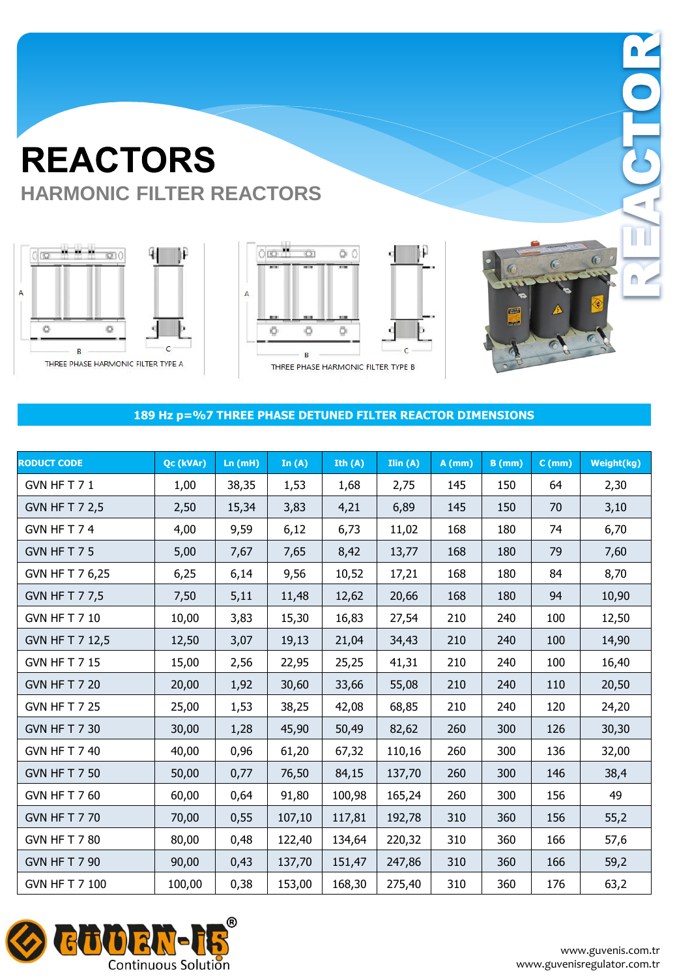





 $\Box$ 

#### **189 Hz p=%7 THREE PHASE DETUNED FILTER REACTOR DIMENSIONS**

| <b>RODUCT CODE</b>    | Qc (kVAr) | Ln(mH) | In $(A)$ | Ith $(A)$ | Ilin(A) | $A$ (mm) | $B$ (mm) | $C$ (mm) | Weight(kg) |
|-----------------------|-----------|--------|----------|-----------|---------|----------|----------|----------|------------|
| GVN HFT71             | 1,00      | 38,35  | 1,53     | 1,68      | 2,75    | 145      | 150      | 64       | 2,30       |
| <b>GVN HF T 7 2,5</b> | 2,50      | 15,34  | 3,83     | 4,21      | 6,89    | 145      | 150      | 70       | 3,10       |
| GVN HFT74             | 4,00      | 9,59   | 6,12     | 6,73      | 11,02   | 168      | 180      | 74       | 6,70       |
| GVN HFT75             | 5,00      | 7,67   | 7,65     | 8,42      | 13,77   | 168      | 180      | 79       | 7,60       |
| GVN HF T 7 6,25       | 6,25      | 6,14   | 9,56     | 10,52     | 17,21   | 168      | 180      | 84       | 8,70       |
| <b>GVN HF T 7 7,5</b> | 7,50      | 5,11   | 11,48    | 12,62     | 20,66   | 168      | 180      | 94       | 10,90      |
| GVN HF T 7 10         | 10,00     | 3,83   | 15,30    | 16,83     | 27,54   | 210      | 240      | 100      | 12,50      |
| GVN HF T 7 12,5       | 12,50     | 3,07   | 19,13    | 21,04     | 34,43   | 210      | 240      | 100      | 14,90      |
| <b>GVN HF T 7 15</b>  | 15,00     | 2,56   | 22,95    | 25,25     | 41,31   | 210      | 240      | 100      | 16,40      |
| <b>GVN HF T 7 20</b>  | 20,00     | 1,92   | 30,60    | 33,66     | 55,08   | 210      | 240      | 110      | 20,50      |
| <b>GVN HF T 7 25</b>  | 25,00     | 1,53   | 38,25    | 42,08     | 68,85   | 210      | 240      | 120      | 24,20      |
| GVN HF T 7 30         | 30,00     | 1,28   | 45,90    | 50,49     | 82,62   | 260      | 300      | 126      | 30,30      |
| GVN HF T 7 40         | 40,00     | 0,96   | 61,20    | 67,32     | 110,16  | 260      | 300      | 136      | 32,00      |
| <b>GVN HF T 7 50</b>  | 50,00     | 0,77   | 76,50    | 84,15     | 137,70  | 260      | 300      | 146      | 38,4       |
| <b>GVN HF T 7 60</b>  | 60,00     | 0,64   | 91,80    | 100,98    | 165,24  | 260      | 300      | 156      | 49         |
| <b>GVN HF T 7 70</b>  | 70,00     | 0,55   | 107,10   | 117,81    | 192,78  | 310      | 360      | 156      | 55,2       |
| <b>GVN HF T 7 80</b>  | 80,00     | 0,48   | 122,40   | 134,64    | 220,32  | 310      | 360      | 166      | 57,6       |
| <b>GVN HF T 7 90</b>  | 90,00     | 0,43   | 137,70   | 151,47    | 247,86  | 310      | 360      | 166      | 59,2       |
| GVN HF T 7 100        | 100,00    | 0,38   | 153,00   | 168,30    | 275,40  | 310      | 360      | 176      | 63,2       |

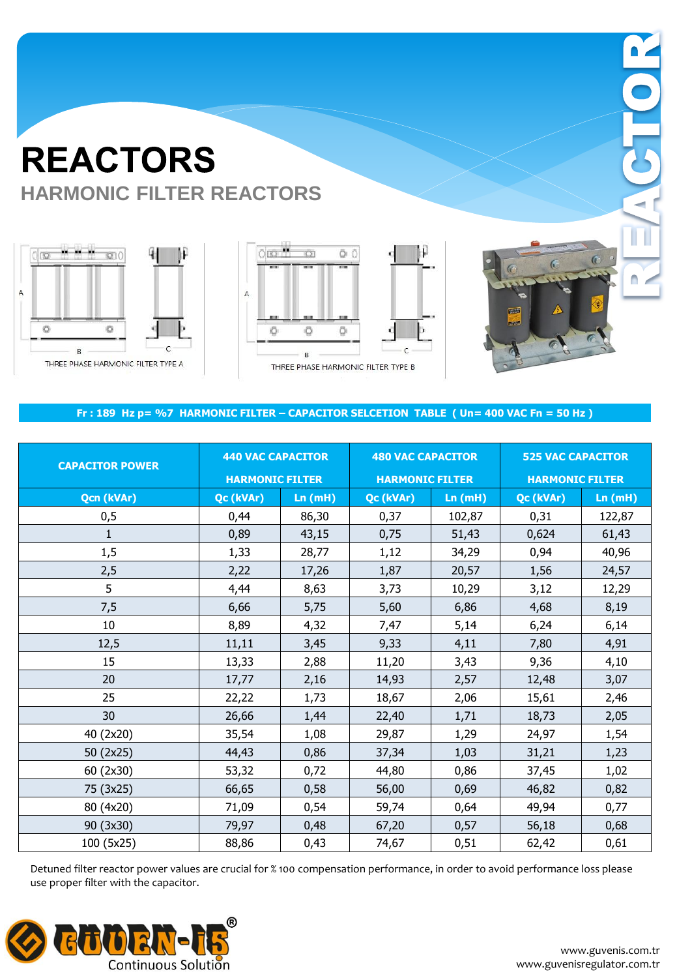





 $\Box$ 

#### **Fr : 189 Hz p= %7 HARMONIC FILTER – CAPACITOR SELCETION TABLE ( Un= 400 VAC Fn = 50 Hz )**

| <b>CAPACITOR POWER</b> | <b>440 VAC CAPACITOR</b><br><b>HARMONIC FILTER</b> |        | <b>480 VAC CAPACITOR</b><br><b>HARMONIC FILTER</b> |        | <b>525 VAC CAPACITOR</b><br><b>HARMONIC FILTER</b> |        |  |
|------------------------|----------------------------------------------------|--------|----------------------------------------------------|--------|----------------------------------------------------|--------|--|
| <b>Qcn (kVAr)</b>      | Qc (kVAr)                                          | Ln(mH) | Qc (kVAr)<br>Ln(mH)                                |        | Qc (kVAr)                                          | Ln(mH) |  |
| 0,5                    | 0,44                                               | 86,30  | 0,37                                               | 102,87 | 0,31                                               | 122,87 |  |
| $\mathbf{1}$           | 0,89                                               | 43,15  | 0,75                                               | 51,43  | 0,624                                              | 61,43  |  |
| 1,5                    | 1,33                                               | 28,77  | 1,12                                               | 34,29  | 0,94                                               | 40,96  |  |
| 2,5                    | 2,22                                               | 17,26  | 1,87                                               | 20,57  | 1,56                                               | 24,57  |  |
| 5                      | 4,44                                               | 8,63   | 3,73                                               | 10,29  | 3,12                                               | 12,29  |  |
| 7,5                    | 6,66                                               | 5,75   | 5,60                                               | 6,86   | 4,68                                               | 8,19   |  |
| 10                     | 8,89                                               | 4,32   | 7,47                                               | 5,14   | 6,24                                               | 6,14   |  |
| 12,5                   | 11,11                                              | 3,45   | 9,33                                               | 4,11   | 7,80                                               | 4,91   |  |
| 15                     | 13,33                                              | 2,88   | 11,20                                              | 3,43   | 9,36                                               | 4,10   |  |
| 20                     | 17,77                                              | 2,16   | 14,93                                              | 2,57   | 12,48                                              | 3,07   |  |
| 25                     | 22,22                                              | 1,73   | 18,67                                              | 2,06   | 15,61                                              | 2,46   |  |
| 30                     | 26,66                                              | 1,44   | 22,40                                              | 1,71   | 18,73                                              | 2,05   |  |
| 40 (2x20)              | 35,54                                              | 1,08   | 29,87                                              | 1,29   | 24,97                                              | 1,54   |  |
| 50 (2x25)              | 44,43                                              | 0,86   | 37,34                                              | 1,03   | 31,21                                              | 1,23   |  |
| 60 (2x30)              | 53,32                                              | 0,72   | 44,80                                              | 0,86   | 37,45                                              | 1,02   |  |
| 75 (3x25)              | 66,65                                              | 0,58   | 56,00                                              | 0,69   | 46,82                                              | 0,82   |  |
| 80 (4x20)              | 71,09                                              | 0,54   | 59,74                                              | 0,64   | 49,94                                              | 0,77   |  |
| 90 (3x30)              | 79,97                                              | 0,48   | 67,20                                              | 0,57   | 56,18                                              | 0,68   |  |
| 100 (5x25)             | 88,86                                              | 0,43   | 74,67                                              | 0,51   | 62,42                                              | 0,61   |  |

Detuned filter reactor power values are crucial for % 100 compensation performance, in order to avoid performance loss please use proper filter with the capacitor.

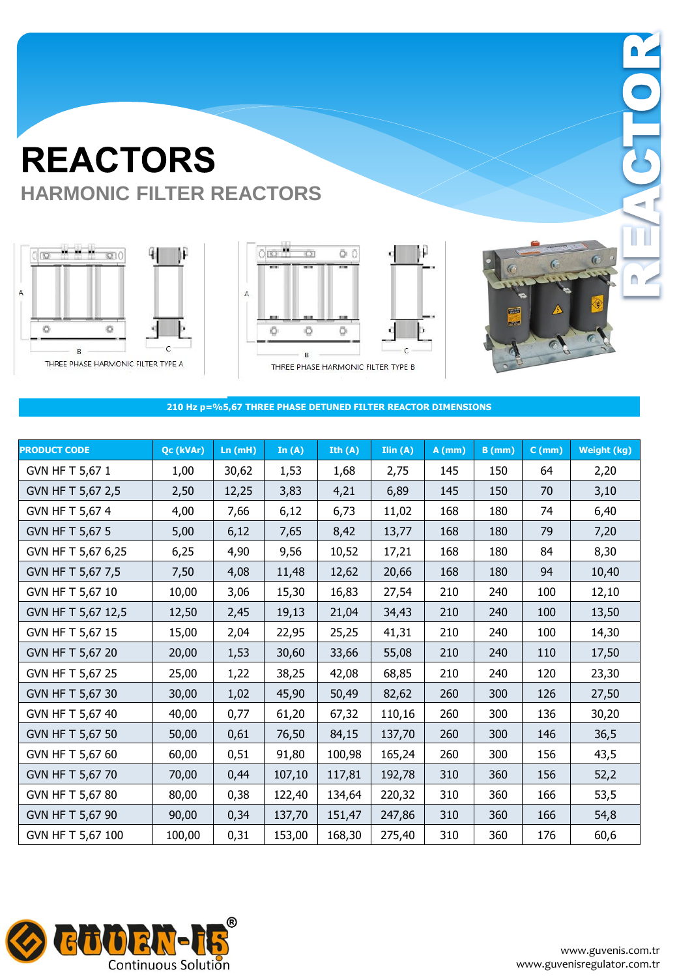





 $\Box$ 

#### **210 Hz p=%5,67 THREE PHASE DETUNED FILTER REACTOR DIMENSIONS**

| <b>PRODUCT CODE</b> | Qc (kVAr) | Ln(mH) | In $(A)$ | Ith $(A)$ | Ilin(A) | $A$ (mm) | $B$ (mm) | $C$ (mm) | <b>Weight (kg)</b> |
|---------------------|-----------|--------|----------|-----------|---------|----------|----------|----------|--------------------|
| GVN HF T 5,67 1     | 1,00      | 30,62  | 1,53     | 1,68      | 2,75    | 145      | 150      | 64       | 2,20               |
| GVN HF T 5,67 2,5   | 2,50      | 12,25  | 3,83     | 4,21      | 6,89    | 145      | 150      | 70       | 3,10               |
| GVN HF T 5,67 4     | 4,00      | 7,66   | 6,12     | 6,73      | 11,02   | 168      | 180      | 74       | 6,40               |
| GVN HF T 5,67 5     | 5,00      | 6,12   | 7,65     | 8,42      | 13,77   | 168      | 180      | 79       | 7,20               |
| GVN HF T 5,67 6,25  | 6,25      | 4,90   | 9,56     | 10,52     | 17,21   | 168      | 180      | 84       | 8,30               |
| GVN HF T 5,67 7,5   | 7,50      | 4,08   | 11,48    | 12,62     | 20,66   | 168      | 180      | 94       | 10,40              |
| GVN HF T 5,67 10    | 10,00     | 3,06   | 15,30    | 16,83     | 27,54   | 210      | 240      | 100      | 12,10              |
| GVN HF T 5,67 12,5  | 12,50     | 2,45   | 19,13    | 21,04     | 34,43   | 210      | 240      | 100      | 13,50              |
| GVN HF T 5,67 15    | 15,00     | 2,04   | 22,95    | 25,25     | 41,31   | 210      | 240      | 100      | 14,30              |
| GVN HF T 5,67 20    | 20,00     | 1,53   | 30,60    | 33,66     | 55,08   | 210      | 240      | 110      | 17,50              |
| GVN HF T 5,67 25    | 25,00     | 1,22   | 38,25    | 42,08     | 68,85   | 210      | 240      | 120      | 23,30              |
| GVN HF T 5,67 30    | 30,00     | 1,02   | 45,90    | 50,49     | 82,62   | 260      | 300      | 126      | 27,50              |
| GVN HF T 5,67 40    | 40,00     | 0,77   | 61,20    | 67,32     | 110,16  | 260      | 300      | 136      | 30,20              |
| GVN HF T 5,67 50    | 50,00     | 0,61   | 76,50    | 84,15     | 137,70  | 260      | 300      | 146      | 36,5               |
| GVN HF T 5,67 60    | 60,00     | 0,51   | 91,80    | 100,98    | 165,24  | 260      | 300      | 156      | 43,5               |
| GVN HF T 5,67 70    | 70,00     | 0,44   | 107,10   | 117,81    | 192,78  | 310      | 360      | 156      | 52,2               |
| GVN HF T 5,67 80    | 80,00     | 0,38   | 122,40   | 134,64    | 220,32  | 310      | 360      | 166      | 53,5               |
| GVN HF T 5,67 90    | 90,00     | 0,34   | 137,70   | 151,47    | 247,86  | 310      | 360      | 166      | 54,8               |
| GVN HF T 5,67 100   | 100,00    | 0,31   | 153,00   | 168,30    | 275,40  | 310      | 360      | 176      | 60,6               |

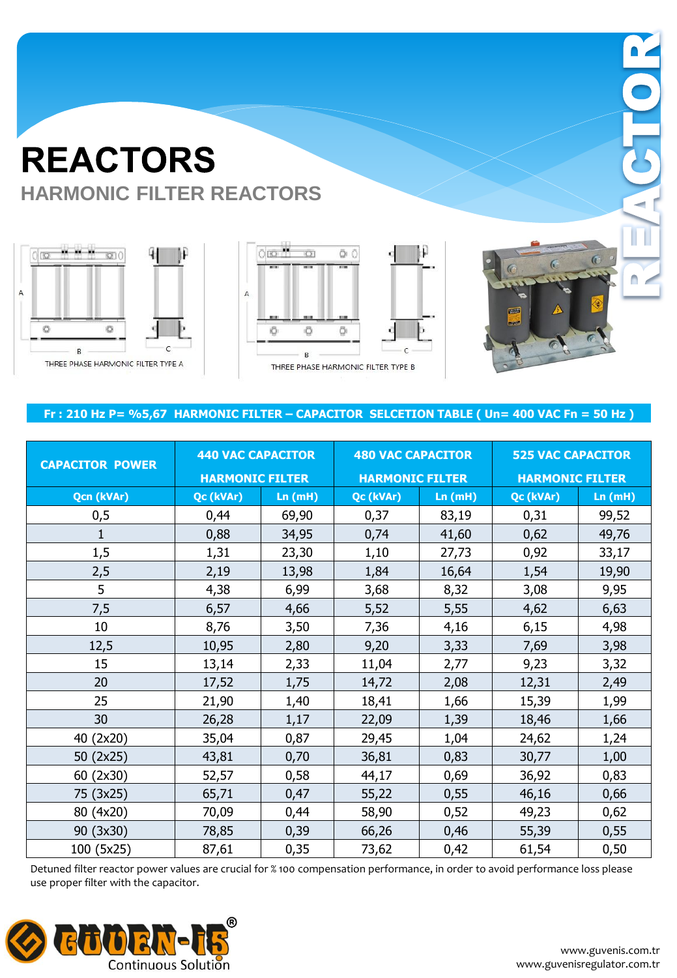





### **Fr : 210 Hz P= %5,67 HARMONIC FILTER – CAPACITOR SELCETION TABLE ( Un= 400 VAC Fn = 50 Hz )**

| <b>CAPACITOR POWER</b> | <b>440 VAC CAPACITOR</b> |        | <b>480 VAC CAPACITOR</b> |        | <b>525 VAC CAPACITOR</b> |        |  |
|------------------------|--------------------------|--------|--------------------------|--------|--------------------------|--------|--|
|                        | <b>HARMONIC FILTER</b>   |        | <b>HARMONIC FILTER</b>   |        | <b>HARMONIC FILTER</b>   |        |  |
| <b>Qcn (kVAr)</b>      | Qc (kVAr)                | Ln(mH) | Qc (kVAr)                | Ln(mH) | Qc (kVAr)                | Ln(mH) |  |
| 0,5                    | 0,44                     | 69,90  | 0,37                     | 83,19  | 0,31                     | 99,52  |  |
| $\mathbf{1}$           | 0,88                     | 34,95  | 0,74                     | 41,60  | 0,62                     | 49,76  |  |
| 1,5                    | 1,31                     | 23,30  | 1,10                     | 27,73  | 0,92                     | 33,17  |  |
| 2,5                    | 2,19                     | 13,98  | 1,84                     | 16,64  | 1,54                     | 19,90  |  |
| 5                      | 4,38                     | 6,99   | 3,68                     | 8,32   | 3,08                     | 9,95   |  |
| 7,5                    | 6,57                     | 4,66   | 5,52                     | 5,55   | 4,62                     | 6,63   |  |
| 10                     | 8,76                     | 3,50   | 7,36                     | 4,16   | 6,15                     | 4,98   |  |
| 12,5                   | 10,95                    | 2,80   | 9,20                     | 3,33   | 7,69                     | 3,98   |  |
| 15                     | 13,14                    | 2,33   | 11,04                    | 2,77   | 9,23                     | 3,32   |  |
| 20                     | 17,52                    | 1,75   | 14,72                    | 2,08   | 12,31                    | 2,49   |  |
| 25                     | 21,90                    | 1,40   | 18,41                    | 1,66   | 15,39                    | 1,99   |  |
| 30                     | 26,28                    | 1,17   | 22,09                    | 1,39   | 18,46                    | 1,66   |  |
| 40 (2x20)              | 35,04                    | 0,87   | 29,45                    | 1,04   | 24,62                    | 1,24   |  |
| 50 (2x25)              | 43,81                    | 0,70   | 36,81                    | 0,83   | 30,77                    | 1,00   |  |
| 60 (2x30)              | 52,57                    | 0,58   | 44,17                    | 0,69   | 36,92                    | 0,83   |  |
| 75 (3x25)              | 65,71                    | 0,47   | 55,22                    | 0,55   | 46,16                    | 0,66   |  |
| 80 (4x20)              | 70,09                    | 0,44   | 58,90                    | 0,52   | 49,23                    | 0,62   |  |
| 90 (3x30)              | 78,85                    | 0,39   | 66,26                    | 0,46   | 55,39                    | 0,55   |  |
| 100 (5x25)             | 87,61                    | 0,35   | 73,62                    | 0,42   | 61,54                    | 0,50   |  |

Detuned filter reactor power values are crucial for % 100 compensation performance, in order to avoid performance loss please use proper filter with the capacitor.

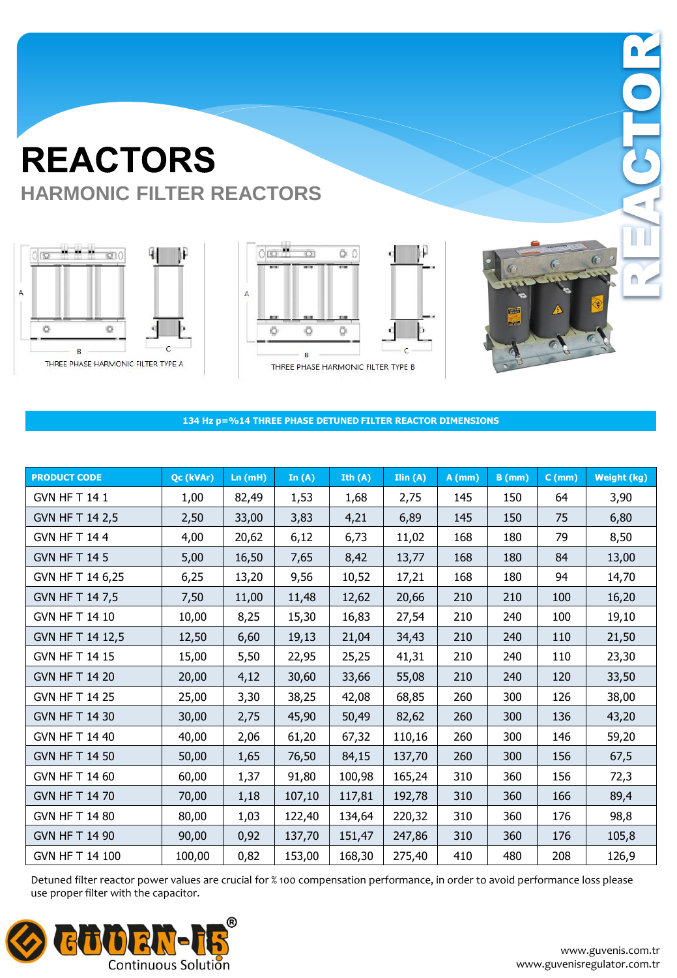





 $\Box$ 

**134 Hz p=%14 THREE PHASE DETUNED FILTER REACTOR DIMENSIONS**

| <b>PRODUCT CODE</b>   | Qc (kVAr) | Ln(mH) | In $(A)$ | Ith $(A)$ | Ilin(A) | $A$ (mm) | $B$ (mm) | $C$ (mm) | Weight (kg) |
|-----------------------|-----------|--------|----------|-----------|---------|----------|----------|----------|-------------|
| <b>GVN HF T 14 1</b>  | 1,00      | 82,49  | 1,53     | 1,68      | 2,75    | 145      | 150      | 64       | 3,90        |
| GVN HF T 14 2,5       | 2,50      | 33,00  | 3,83     | 4,21      | 6,89    | 145      | 150      | 75       | 6,80        |
| <b>GVN HF T 144</b>   | 4,00      | 20,62  | 6,12     | 6,73      | 11,02   | 168      | 180      | 79       | 8,50        |
| <b>GVN HF T 14 5</b>  | 5,00      | 16,50  | 7,65     | 8,42      | 13,77   | 168      | 180      | 84       | 13,00       |
| GVN HF T 14 6,25      | 6,25      | 13,20  | 9,56     | 10,52     | 17,21   | 168      | 180      | 94       | 14,70       |
| GVN HF T 14 7,5       | 7,50      | 11,00  | 11,48    | 12,62     | 20,66   | 210      | 210      | 100      | 16,20       |
| GVN HF T 14 10        | 10,00     | 8,25   | 15,30    | 16,83     | 27,54   | 210      | 240      | 100      | 19,10       |
| GVN HF T 14 12,5      | 12,50     | 6,60   | 19,13    | 21,04     | 34,43   | 210      | 240      | 110      | 21,50       |
| GVN HF T 14 15        | 15,00     | 5,50   | 22,95    | 25,25     | 41,31   | 210      | 240      | 110      | 23,30       |
| GVN HF T 14 20        | 20,00     | 4,12   | 30,60    | 33,66     | 55,08   | 210      | 240      | 120      | 33,50       |
| <b>GVN HF T 14 25</b> | 25,00     | 3,30   | 38,25    | 42,08     | 68,85   | 260      | 300      | 126      | 38,00       |
| GVN HF T 14 30        | 30,00     | 2,75   | 45,90    | 50,49     | 82,62   | 260      | 300      | 136      | 43,20       |
| GVN HF T 14 40        | 40,00     | 2,06   | 61,20    | 67,32     | 110,16  | 260      | 300      | 146      | 59,20       |
| GVN HF T 14 50        | 50,00     | 1,65   | 76,50    | 84,15     | 137,70  | 260      | 300      | 156      | 67,5        |
| GVN HF T 14 60        | 60,00     | 1,37   | 91,80    | 100,98    | 165,24  | 310      | 360      | 156      | 72,3        |
| GVN HF T 14 70        | 70,00     | 1,18   | 107,10   | 117,81    | 192,78  | 310      | 360      | 166      | 89,4        |
| GVN HF T 14 80        | 80,00     | 1,03   | 122,40   | 134,64    | 220,32  | 310      | 360      | 176      | 98,8        |
| GVN HF T 14 90        | 90,00     | 0,92   | 137,70   | 151,47    | 247,86  | 310      | 360      | 176      | 105,8       |
| GVN HF T 14 100       | 100,00    | 0,82   | 153,00   | 168,30    | 275,40  | 410      | 480      | 208      | 126,9       |

Detuned filter reactor power values are crucial for % 100 compensation performance, in order to avoid performance loss please use proper filter with the capacitor.

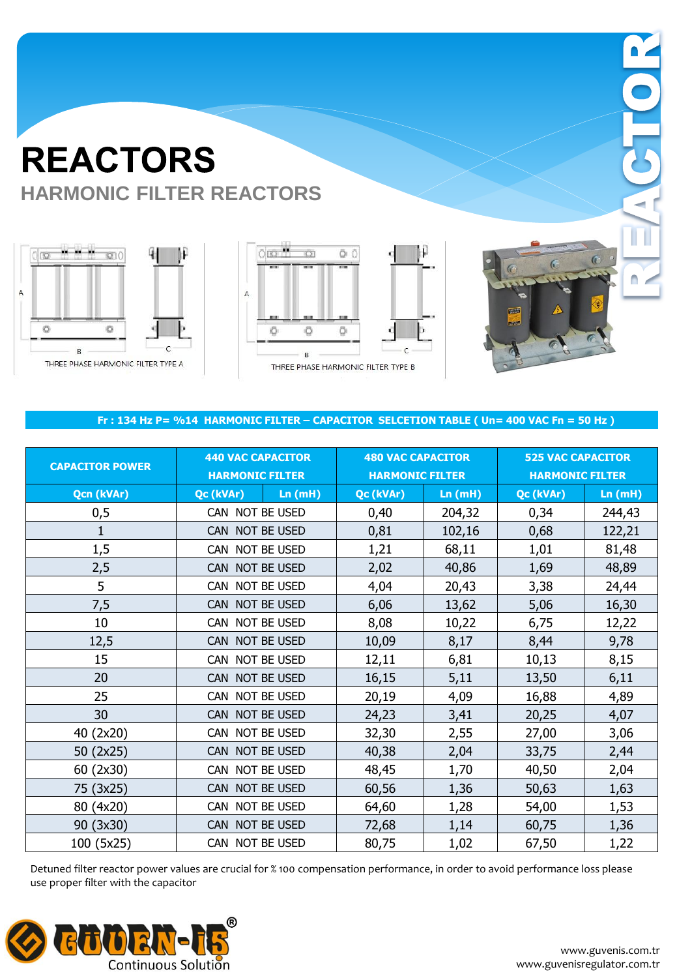





 $\Box$ 

#### **Fr : 134 Hz P= %14 HARMONIC FILTER – CAPACITOR SELCETION TABLE ( Un= 400 VAC Fn = 50 Hz )**

| <b>CAPACITOR POWER</b> | <b>440 VAC CAPACITOR</b><br><b>HARMONIC FILTER</b> |        | <b>480 VAC CAPACITOR</b><br><b>HARMONIC FILTER</b> |        | <b>525 VAC CAPACITOR</b><br><b>HARMONIC FILTER</b> |        |
|------------------------|----------------------------------------------------|--------|----------------------------------------------------|--------|----------------------------------------------------|--------|
| Qcn (kVAr)             | Qc (kVAr)                                          | Ln(mH) | Qc (kVAr)                                          | Ln(mH) | Qc (kVAr)                                          | Ln(mH) |
| 0,5                    | CAN NOT BE USED                                    |        | 0,40                                               | 204,32 | 0,34                                               | 244,43 |
| 1                      | CAN NOT BE USED                                    |        | 0,81                                               | 102,16 | 0,68                                               | 122,21 |
| 1,5                    | CAN NOT BE USED                                    |        | 1,21                                               | 68,11  | 1,01                                               | 81,48  |
| 2,5                    | CAN NOT BE USED                                    |        | 2,02                                               | 40,86  | 1,69                                               | 48,89  |
| 5                      | CAN NOT BE USED                                    |        | 4,04                                               | 20,43  | 3,38                                               | 24,44  |
| 7,5                    | CAN NOT BE USED                                    |        | 6,06                                               | 13,62  | 5,06                                               | 16,30  |
| 10                     | CAN NOT BE USED                                    |        | 8,08                                               | 10,22  | 6,75                                               | 12,22  |
| 12,5                   | CAN NOT BE USED                                    |        | 10,09                                              | 8,17   | 8,44                                               | 9,78   |
| 15                     | CAN NOT BE USED                                    |        | 12,11                                              | 6,81   | 10,13                                              | 8,15   |
| 20                     | CAN NOT BE USED                                    |        | 16,15                                              | 5,11   | 13,50                                              | 6,11   |
| 25                     | CAN NOT BE USED                                    |        | 20,19                                              | 4,09   | 16,88                                              | 4,89   |
| 30                     | CAN NOT BE USED                                    |        | 24,23                                              | 3,41   | 20,25                                              | 4,07   |
| 40 (2x20)              | CAN NOT BE USED                                    |        | 32,30                                              | 2,55   | 27,00                                              | 3,06   |
| 50 (2x25)              | CAN NOT BE USED                                    |        | 40,38                                              | 2,04   | 33,75                                              | 2,44   |
| 60 (2x30)              | CAN NOT BE USED                                    |        | 48,45                                              | 1,70   | 40,50                                              | 2,04   |
| 75 (3x25)              | CAN NOT BE USED                                    |        | 60,56                                              | 1,36   | 50,63                                              | 1,63   |
| 80 (4x20)              | CAN NOT BE USED                                    |        | 64,60                                              | 1,28   | 54,00                                              | 1,53   |
| 90 (3x30)              | CAN NOT BE USED                                    |        | 72,68                                              | 1,14   | 60,75                                              | 1,36   |
| 100 (5x25)             | CAN NOT BE USED                                    |        | 80,75                                              | 1,02   | 67,50                                              | 1,22   |

Detuned filter reactor power values are crucial for % 100 compensation performance, in order to avoid performance loss please use proper filter with the capacitor

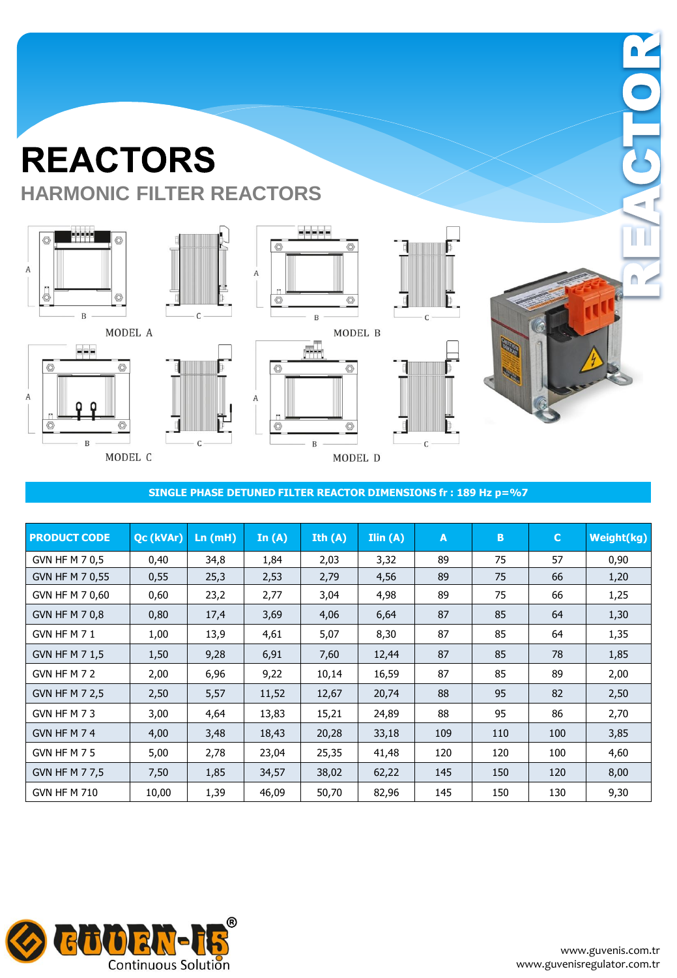

eee

 $\, {\bf B}$ 

 $\circledcirc$ 

O

 $\boldsymbol{A}$ 

 $\overline{\circ}$ 

MODEL C





 $\, {\bf B}$ 

 $\boldsymbol{A}$ 

 $\sqrt{C}$ 





**SINGLE PHASE DETUNED FILTER REACTOR DIMENSIONS fr : 189 Hz p=%7** 

 $\circledcirc$ 

| <b>PRODUCT CODE</b>   | Qc (kVAr) | In (mH) | In $(A)$ | Ith $(A)$ | Ilin(A) | A   | B   | $\mathbf C$ | Weight(kg) |
|-----------------------|-----------|---------|----------|-----------|---------|-----|-----|-------------|------------|
| GVN HF M 7 0,5        | 0,40      | 34,8    | 1,84     | 2,03      | 3,32    | 89  | 75  | 57          | 0,90       |
| GVN HF M 7 0,55       | 0,55      | 25,3    | 2,53     | 2,79      | 4,56    | 89  | 75  | 66          | 1,20       |
| GVN HF M 7 0,60       | 0,60      | 23,2    | 2,77     | 3,04      | 4,98    | 89  | 75  | 66          | 1,25       |
| GVN HF M 7 0,8        | 0,80      | 17,4    | 3,69     | 4,06      | 6,64    | 87  | 85  | 64          | 1,30       |
| GVN HF M 7 1          | 1,00      | 13,9    | 4,61     | 5,07      | 8,30    | 87  | 85  | 64          | 1,35       |
| GVN HF M 7 1,5        | 1,50      | 9,28    | 6,91     | 7,60      | 12,44   | 87  | 85  | 78          | 1,85       |
| GVN HF M 7 2          | 2,00      | 6,96    | 9,22     | 10,14     | 16,59   | 87  | 85  | 89          | 2,00       |
| GVN HF M 7 2,5        | 2,50      | 5,57    | 11,52    | 12,67     | 20,74   | 88  | 95  | 82          | 2,50       |
| GVN HF M 73           | 3,00      | 4,64    | 13,83    | 15,21     | 24,89   | 88  | 95  | 86          | 2,70       |
| GVN HF M 74           | 4,00      | 3,48    | 18,43    | 20,28     | 33,18   | 109 | 110 | 100         | 3,85       |
| GVN HF M 7 5          | 5,00      | 2,78    | 23,04    | 25,35     | 41,48   | 120 | 120 | 100         | 4,60       |
| <b>GVN HF M 7 7,5</b> | 7,50      | 1,85    | 34,57    | 38,02     | 62,22   | 145 | 150 | 120         | 8,00       |
| <b>GVN HF M 710</b>   | 10,00     | 1,39    | 46,09    | 50,70     | 82,96   | 145 | 150 | 130         | 9,30       |